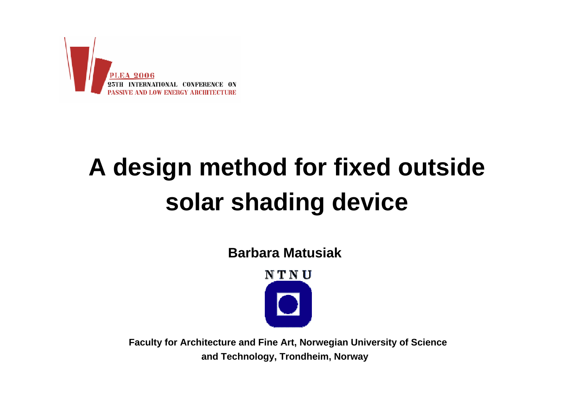

# **A design method for fixed outside solar shading device**

**Barbara Matusiak**



**Faculty for Architecture and Fine Art, Norwegian University of Science and Technology, Trondheim, Norway**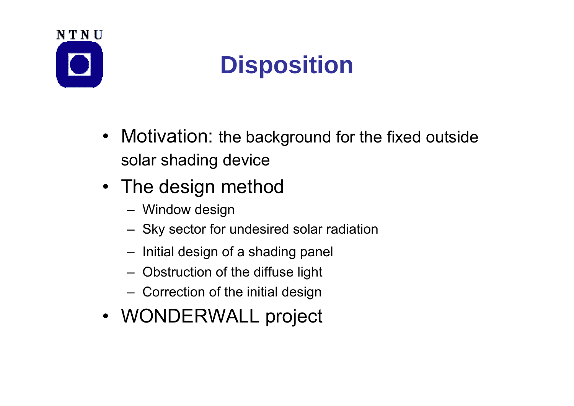

# **Disposition**

- Motivation: the background for the fixed outside solar shading device
- The design method
	- Window design
	- Sky sector for undesired solar radiation
	- Initial design of a shading panel
	- Obstruction of the diffuse light
	- Correction of the initial design
- WONDERWALL project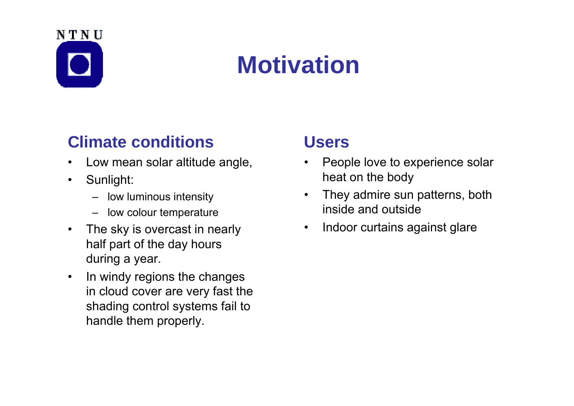# NTNU

## **Motivation**

#### **Climate conditions**

- •Low mean solar altitude angle,
- $\bullet$  Sunlight:
	- low luminous intensity
	- low colour temperature
- • The sky is overcast in nearly half part of the day hours during a year.
- • In windy regions the changes in cloud cover are very fast the shading control systems fail to handle them properly.

#### **Users**

- $\bullet$  People love to experience solar heat on the body
- $\bullet$  They admire sun patterns, both inside and outside
- $\bullet$ Indoor curtains against glare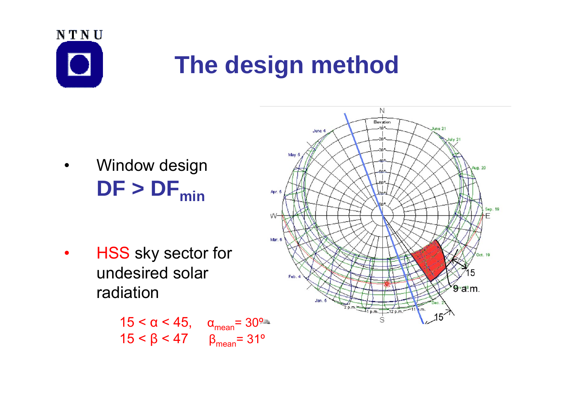

- • Window design  $DF > DF_{min}$
- $\bullet$  HSS sky sector for undesired solar radiation

$$
15 < \alpha < 45, \quad \alpha_{\text{mean}} = 30^{\circ}.
$$
  

$$
15 < \beta < 47 \quad \beta_{\text{mean}} = 31^{\circ}
$$

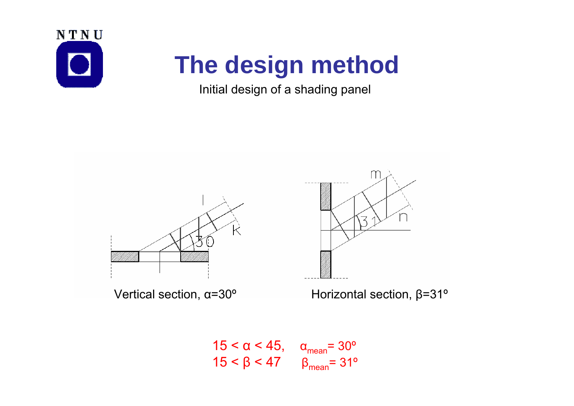

#### Initial design of a shading panel



Vertical section,  $\alpha = 30^\circ$ 

<sup>α</sup>=30º Horizontal section, β=31º

ス

$$
15 < \alpha < 45, \quad \alpha_{\text{mean}} = 30^{\circ}
$$
\n
$$
15 < \beta < 47 \quad \beta_{\text{mean}} = 31^{\circ}
$$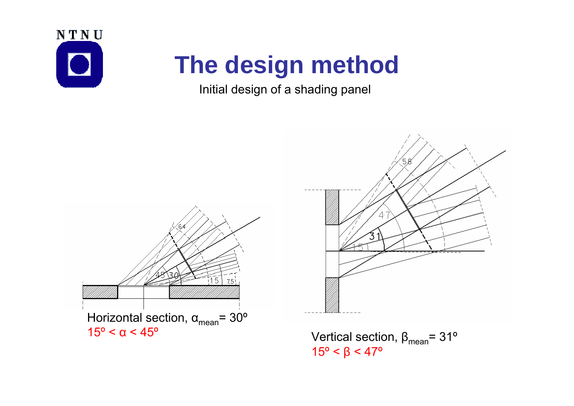

#### Initial design of a shading panel





15º < β < 47º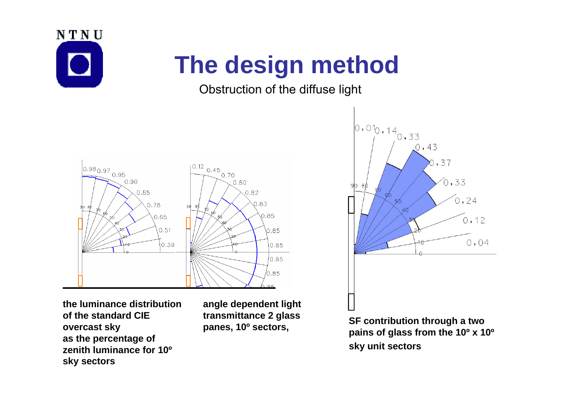

#### Obstruction of the diffuse light



**the luminance distribution of the standard CIE overcast sky as the percentage of zenith luminance for 10ºsky sectors**

**angle dependent light transmittance 2 glass** 



**panes, 10<sup>°</sup> sectors, <b>SF** contribution through a two panes, 10<sup>°</sup> sectors, pains of glass from the 10<sup>°</sup> x 10<sup>°</sup> **sky unit sectors**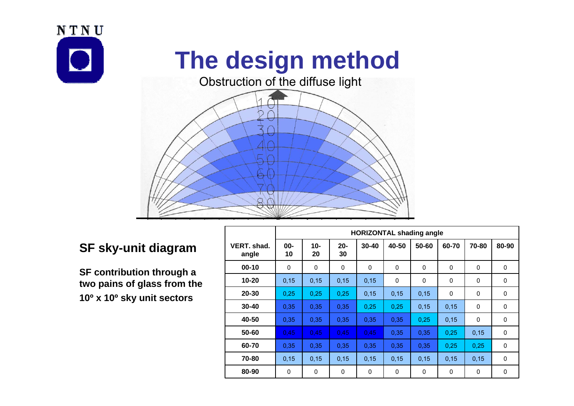



┱

г

#### **SF sky-unit diagram**

**SF contribution through a two pains of glass from the 10º x 10º sky unit sectors**

|                      | <b>HORIZONTAL shading angle</b> |             |              |             |       |          |       |             |              |
|----------------------|---------------------------------|-------------|--------------|-------------|-------|----------|-------|-------------|--------------|
| VERT. shad.<br>angle | $00-$<br>10                     | $10-$<br>20 | $20 -$<br>30 | $30 - 40$   | 40-50 | 50-60    | 60-70 | 70-80       | 80-90        |
| $00 - 10$            | 0                               | 0           | 0            | $\mathbf 0$ | 0     | $\Omega$ | 0     | $\mathbf 0$ | 0            |
| $10 - 20$            | 0, 15                           | 0, 15       | 0,15         | 0,15        | 0     | 0        | 0     | 0           | 0            |
| 20-30                | 0,25                            | 0,25        | 0,25         | 0,15        | 0,15  | 0,15     | 0     | 0           | 0            |
| $30 - 40$            | 0,35                            | 0,35        | 0,35         | 0,25        | 0,25  | 0,15     | 0,15  | 0           | $\mathbf{0}$ |
| 40-50                | 0,35                            | 0,35        | 0,35         | 0.35        | 0,35  | 0.25     | 0,15  | 0           | 0            |
| 50-60                | 0.45                            | 0,45        | 0,45         | 0,45        | 0,35  | 0,35     | 0,25  | 0,15        | 0            |
| 60-70                | 0.35                            | 0,35        | 0.35         | 0.35        | 0.35  | 0.35     | 0,25  | 0.25        | 0            |
| 70-80                | 0, 15                           | 0,15        | 0,15         | 0,15        | 0,15  | 0,15     | 0,15  | 0,15        | 0            |
| 80-90                | 0                               | 0           | 0            | 0           | 0     | 0        | 0     | 0           | 0            |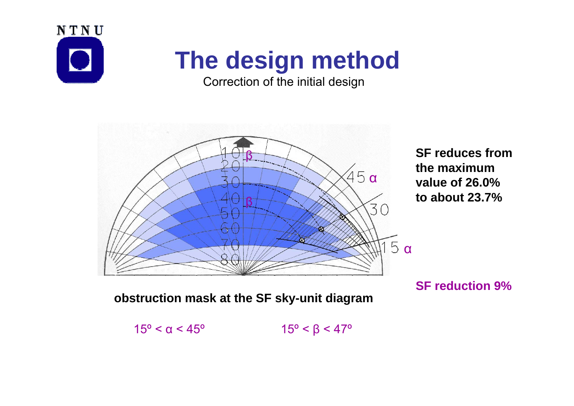

Correction of the initial design



$$
15^{\circ} < \alpha < 45^{\circ} \qquad \qquad 15^{\circ} < \beta < 47^{\circ}
$$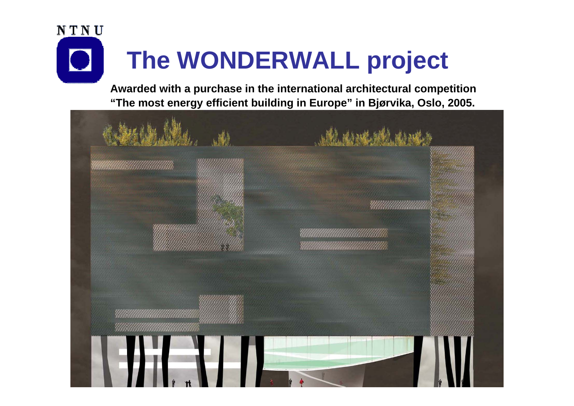

**Awarded with a purchase in the international architectural competition "The most energy efficient building in Europe" in Bjørvika, Oslo, 2005.**

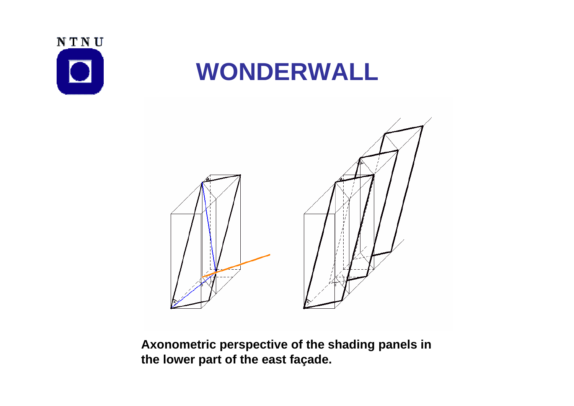

## **WONDERWALL**



**Axonometric perspective of the shading panels in the lower part of the east façade.**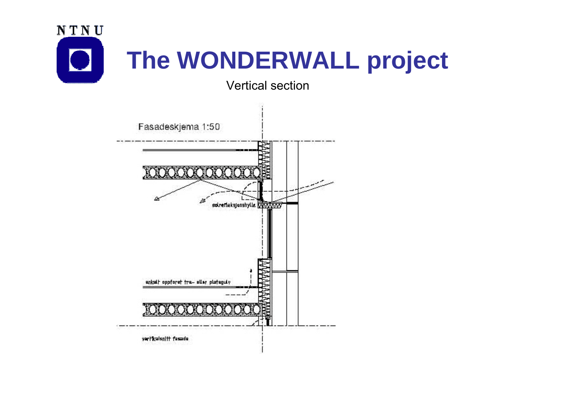

Vertical section